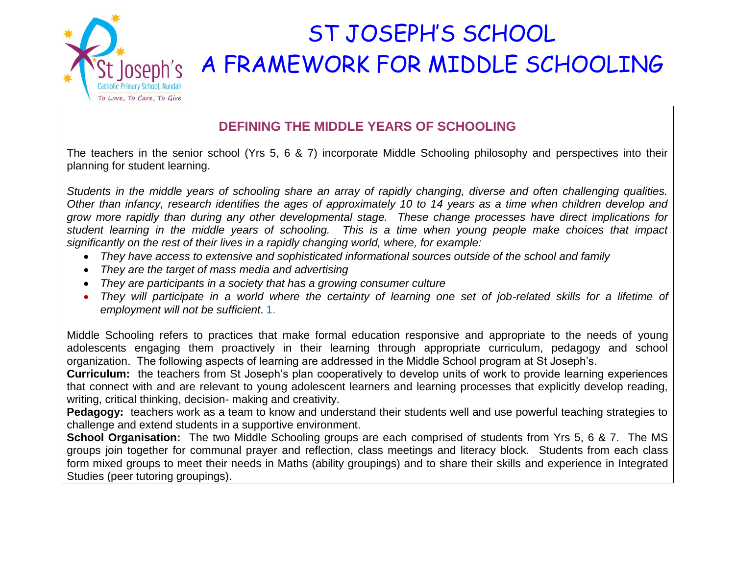

## ST JOSEPH'S SCHOOL A FRAMEWORK FOR MIDDLE SCHOOLING

## **DEFINING THE MIDDLE YEARS OF SCHOOLING**

The teachers in the senior school (Yrs 5, 6 & 7) incorporate Middle Schooling philosophy and perspectives into their planning for student learning.

*Students in the middle years of schooling share an array of rapidly changing, diverse and often challenging qualities. Other than infancy, research identifies the ages of approximately 10 to 14 years as a time when children develop and grow more rapidly than during any other developmental stage. These change processes have direct implications for student learning in the middle years of schooling. This is a time when young people make choices that impact significantly on the rest of their lives in a rapidly changing world, where, for example:*

- *They have access to extensive and sophisticated informational sources outside of the school and family*
- *They are the target of mass media and advertising*
- *They are participants in a society that has a growing consumer culture*
- They will participate in a world where the certainty of learning one set of job-related skills for a lifetime of *employment will not be sufficient*. 1.

Middle Schooling refers to practices that make formal education responsive and appropriate to the needs of young adolescents engaging them proactively in their learning through appropriate curriculum, pedagogy and school organization. The following aspects of learning are addressed in the Middle School program at St Joseph's.

**Curriculum:** the teachers from St Joseph's plan cooperatively to develop units of work to provide learning experiences that connect with and are relevant to young adolescent learners and learning processes that explicitly develop reading, writing, critical thinking, decision- making and creativity.

**Pedagogy:** teachers work as a team to know and understand their students well and use powerful teaching strategies to challenge and extend students in a supportive environment.

**School Organisation:** The two Middle Schooling groups are each comprised of students from Yrs 5, 6 & 7. The MS groups join together for communal prayer and reflection, class meetings and literacy block. Students from each class form mixed groups to meet their needs in Maths (ability groupings) and to share their skills and experience in Integrated Studies (peer tutoring groupings).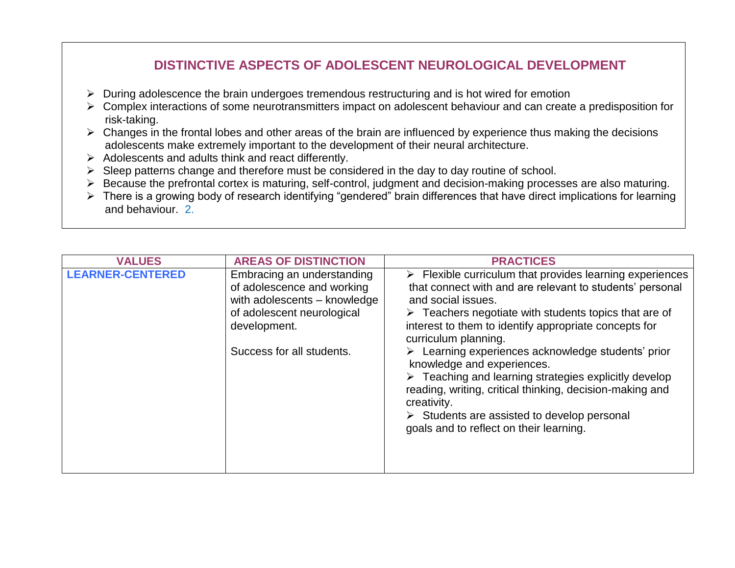## **DISTINCTIVE ASPECTS OF ADOLESCENT NEUROLOGICAL DEVELOPMENT**

- $\triangleright$  During adolescence the brain undergoes tremendous restructuring and is hot wired for emotion
- $\triangleright$  Complex interactions of some neurotransmitters impact on adolescent behaviour and can create a predisposition for risk-taking.
- $\triangleright$  Changes in the frontal lobes and other areas of the brain are influenced by experience thus making the decisions adolescents make extremely important to the development of their neural architecture.
- $\triangleright$  Adolescents and adults think and react differently.
- $\triangleright$  Sleep patterns change and therefore must be considered in the day to day routine of school.
- Because the prefrontal cortex is maturing, self-control, judgment and decision-making processes are also maturing.
- $\triangleright$  There is a growing body of research identifying "gendered" brain differences that have direct implications for learning and behaviour. 2.

| <b>VALUES</b>           | <b>AREAS OF DISTINCTION</b>                                                                                                                                         | <b>PRACTICES</b>                                                                                                                                                                                                                                                                                                                                                                                                                                                                                                                                                                                                                                                   |
|-------------------------|---------------------------------------------------------------------------------------------------------------------------------------------------------------------|--------------------------------------------------------------------------------------------------------------------------------------------------------------------------------------------------------------------------------------------------------------------------------------------------------------------------------------------------------------------------------------------------------------------------------------------------------------------------------------------------------------------------------------------------------------------------------------------------------------------------------------------------------------------|
| <b>LEARNER-CENTERED</b> | Embracing an understanding<br>of adolescence and working<br>with adolescents - knowledge<br>of adolescent neurological<br>development.<br>Success for all students. | $\triangleright$ Flexible curriculum that provides learning experiences<br>that connect with and are relevant to students' personal<br>and social issues.<br>$\triangleright$ Teachers negotiate with students topics that are of<br>interest to them to identify appropriate concepts for<br>curriculum planning.<br>> Learning experiences acknowledge students' prior<br>knowledge and experiences.<br>$\triangleright$ Teaching and learning strategies explicitly develop<br>reading, writing, critical thinking, decision-making and<br>creativity.<br>$\triangleright$ Students are assisted to develop personal<br>goals and to reflect on their learning. |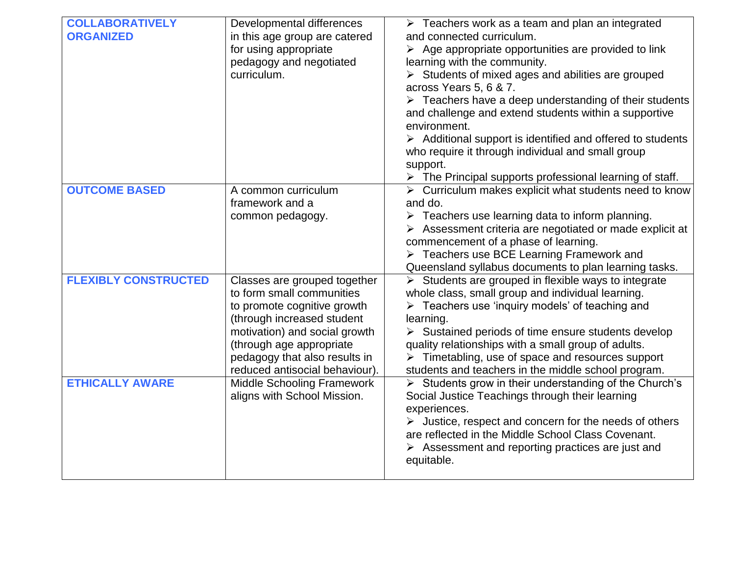| <b>COLLABORATIVELY</b><br><b>ORGANIZED</b> | Developmental differences<br>in this age group are catered<br>for using appropriate<br>pedagogy and negotiated<br>curriculum.                                                                                                                          | $\triangleright$ Teachers work as a team and plan an integrated<br>and connected curriculum.<br>$\triangleright$ Age appropriate opportunities are provided to link<br>learning with the community.<br>$\triangleright$ Students of mixed ages and abilities are grouped<br>across Years 5, 6 & 7.<br>$\triangleright$ Teachers have a deep understanding of their students<br>and challenge and extend students within a supportive<br>environment.<br>$\triangleright$ Additional support is identified and offered to students<br>who require it through individual and small group<br>support.<br>$\triangleright$ The Principal supports professional learning of staff. |
|--------------------------------------------|--------------------------------------------------------------------------------------------------------------------------------------------------------------------------------------------------------------------------------------------------------|-------------------------------------------------------------------------------------------------------------------------------------------------------------------------------------------------------------------------------------------------------------------------------------------------------------------------------------------------------------------------------------------------------------------------------------------------------------------------------------------------------------------------------------------------------------------------------------------------------------------------------------------------------------------------------|
| <b>OUTCOME BASED</b>                       | A common curriculum<br>framework and a<br>common pedagogy.                                                                                                                                                                                             | $\triangleright$ Curriculum makes explicit what students need to know<br>and do.<br>$\triangleright$ Teachers use learning data to inform planning.<br>$\triangleright$ Assessment criteria are negotiated or made explicit at<br>commencement of a phase of learning.<br>> Teachers use BCE Learning Framework and<br>Queensland syllabus documents to plan learning tasks.                                                                                                                                                                                                                                                                                                  |
| <b>FLEXIBLY CONSTRUCTED</b>                | Classes are grouped together<br>to form small communities<br>to promote cognitive growth<br>(through increased student<br>motivation) and social growth<br>(through age appropriate<br>pedagogy that also results in<br>reduced antisocial behaviour). | $\triangleright$ Students are grouped in flexible ways to integrate<br>whole class, small group and individual learning.<br>> Teachers use 'inquiry models' of teaching and<br>learning.<br>$\triangleright$ Sustained periods of time ensure students develop<br>quality relationships with a small group of adults.<br>$\triangleright$ Timetabling, use of space and resources support<br>students and teachers in the middle school program.                                                                                                                                                                                                                              |
| <b>ETHICALLY AWARE</b>                     | <b>Middle Schooling Framework</b><br>aligns with School Mission.                                                                                                                                                                                       | > Students grow in their understanding of the Church's<br>Social Justice Teachings through their learning<br>experiences.<br>$\triangleright$ Justice, respect and concern for the needs of others<br>are reflected in the Middle School Class Covenant.<br>$\triangleright$ Assessment and reporting practices are just and<br>equitable.                                                                                                                                                                                                                                                                                                                                    |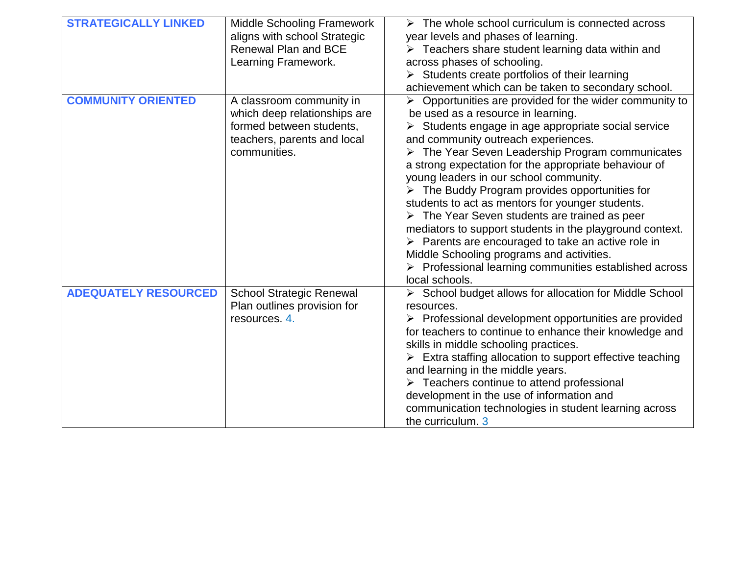| <b>STRATEGICALLY LINKED</b> | <b>Middle Schooling Framework</b><br>aligns with school Strategic<br>Renewal Plan and BCE<br>Learning Framework.                    | $\triangleright$ The whole school curriculum is connected across<br>year levels and phases of learning.<br>$\triangleright$ Teachers share student learning data within and<br>across phases of schooling.<br>$\triangleright$ Students create portfolios of their learning<br>achievement which can be taken to secondary school.                                                                                                                                                                                                                                                                                                                                                                                                                                                                                                             |
|-----------------------------|-------------------------------------------------------------------------------------------------------------------------------------|------------------------------------------------------------------------------------------------------------------------------------------------------------------------------------------------------------------------------------------------------------------------------------------------------------------------------------------------------------------------------------------------------------------------------------------------------------------------------------------------------------------------------------------------------------------------------------------------------------------------------------------------------------------------------------------------------------------------------------------------------------------------------------------------------------------------------------------------|
| <b>COMMUNITY ORIENTED</b>   | A classroom community in<br>which deep relationships are<br>formed between students,<br>teachers, parents and local<br>communities. | $\triangleright$ Opportunities are provided for the wider community to<br>be used as a resource in learning.<br>$\triangleright$ Students engage in age appropriate social service<br>and community outreach experiences.<br>> The Year Seven Leadership Program communicates<br>a strong expectation for the appropriate behaviour of<br>young leaders in our school community.<br>$\triangleright$ The Buddy Program provides opportunities for<br>students to act as mentors for younger students.<br>$\triangleright$ The Year Seven students are trained as peer<br>mediators to support students in the playground context.<br>$\triangleright$ Parents are encouraged to take an active role in<br>Middle Schooling programs and activities.<br>$\triangleright$ Professional learning communities established across<br>local schools. |
| <b>ADEQUATELY RESOURCED</b> | <b>School Strategic Renewal</b><br>Plan outlines provision for<br>resources. 4.                                                     | > School budget allows for allocation for Middle School<br>resources.<br>$\triangleright$ Professional development opportunities are provided<br>for teachers to continue to enhance their knowledge and<br>skills in middle schooling practices.<br>$\triangleright$ Extra staffing allocation to support effective teaching<br>and learning in the middle years.<br>$\triangleright$ Teachers continue to attend professional<br>development in the use of information and<br>communication technologies in student learning across<br>the curriculum. 3                                                                                                                                                                                                                                                                                     |